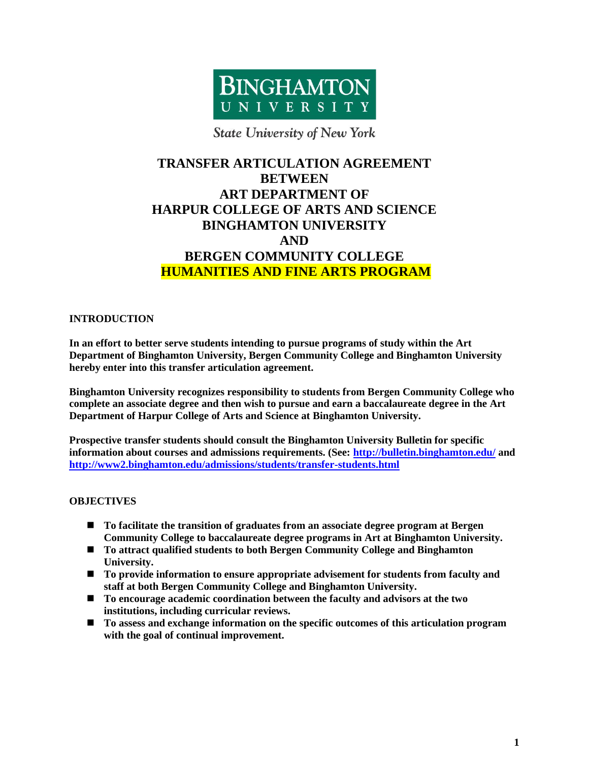

### **State University of New York**

# **TRANSFER ARTICULATION AGREEMENT BETWEEN ART DEPARTMENT OF HARPUR COLLEGE OF ARTS AND SCIENCE BINGHAMTON UNIVERSITY AND BERGEN COMMUNITY COLLEGE HUMANITIES AND FINE ARTS PROGRAM**

### **INTRODUCTION**

**In an effort to better serve students intending to pursue programs of study within the Art Department of Binghamton University, Bergen Community College and Binghamton University hereby enter into this transfer articulation agreement.**

**Binghamton University recognizes responsibility to students from Bergen Community College who complete an associate degree and then wish to pursue and earn a baccalaureate degree in the Art Department of Harpur College of Arts and Science at Binghamton University.**

**Prospective transfer students should consult the Binghamton University Bulletin for specific information about courses and admissions requirements. (See:<http://bulletin.binghamton.edu/> and <http://www2.binghamton.edu/admissions/students/transfer-students.html>**

### **OBJECTIVES**

- **To facilitate the transition of graduates from an associate degree program at Bergen Community College to baccalaureate degree programs in Art at Binghamton University.**
- **To attract qualified students to both Bergen Community College and Binghamton University.**
- **To provide information to ensure appropriate advisement for students from faculty and staff at both Bergen Community College and Binghamton University.**
- **To encourage academic coordination between the faculty and advisors at the two institutions, including curricular reviews.**
- **To assess and exchange information on the specific outcomes of this articulation program with the goal of continual improvement.**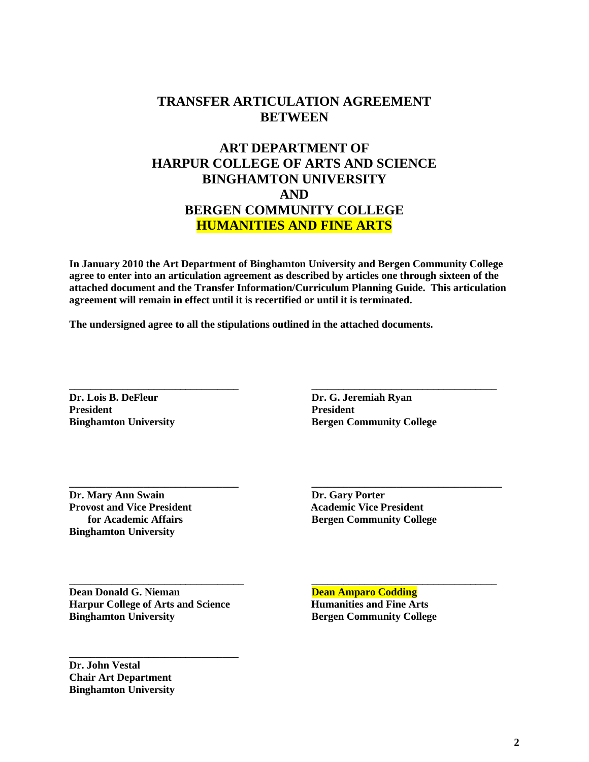## **TRANSFER ARTICULATION AGREEMENT BETWEEN**

# **ART DEPARTMENT OF HARPUR COLLEGE OF ARTS AND SCIENCE BINGHAMTON UNIVERSITY AND BERGEN COMMUNITY COLLEGE HUMANITIES AND FINE ARTS**

**In January 2010 the Art Department of Binghamton University and Bergen Community College agree to enter into an articulation agreement as described by articles one through sixteen of the attached document and the Transfer Information/Curriculum Planning Guide. This articulation agreement will remain in effect until it is recertified or until it is terminated.**

**\_\_\_\_\_\_\_\_\_\_\_\_\_\_\_\_\_\_\_\_\_\_\_\_\_\_\_\_\_\_\_\_ \_\_\_\_\_\_\_\_\_\_\_\_\_\_\_\_\_\_\_\_\_\_\_\_\_\_\_\_\_\_\_\_\_\_\_**

**\_\_\_\_\_\_\_\_\_\_\_\_\_\_\_\_\_\_\_\_\_\_\_\_\_\_\_\_\_\_\_\_ \_\_\_\_\_\_\_\_\_\_\_\_\_\_\_\_\_\_\_\_\_\_\_\_\_\_\_\_\_\_\_\_\_\_\_\_**

**\_\_\_\_\_\_\_\_\_\_\_\_\_\_\_\_\_\_\_\_\_\_\_\_\_\_\_\_\_\_\_\_\_ \_\_\_\_\_\_\_\_\_\_\_\_\_\_\_\_\_\_\_\_\_\_\_\_\_\_\_\_\_\_\_\_\_\_\_**

**The undersigned agree to all the stipulations outlined in the attached documents.**

**Dr. Lois B. DeFleur Dr. G. Jeremiah Ryan President President**

**Binghamton University <b>Bergen Community College** 

**Dr. Mary Ann Swain Dr. Gary Porter Provost and Vice President 1986 1996 1997 1998 10 Academic Vice President Binghamton University**

 **for Academic Affairs Bergen Community College**

**Dean Donald G. Nieman Dean Amparo Codding Harpur College of Arts and Science Humanities and Fine Arts Binghamton University Bergen Community College**

**\_\_\_\_\_\_\_\_\_\_\_\_\_\_\_\_\_\_\_\_\_\_\_\_\_\_\_\_\_\_\_\_**

**Dr. John Vestal Chair Art Department Binghamton University**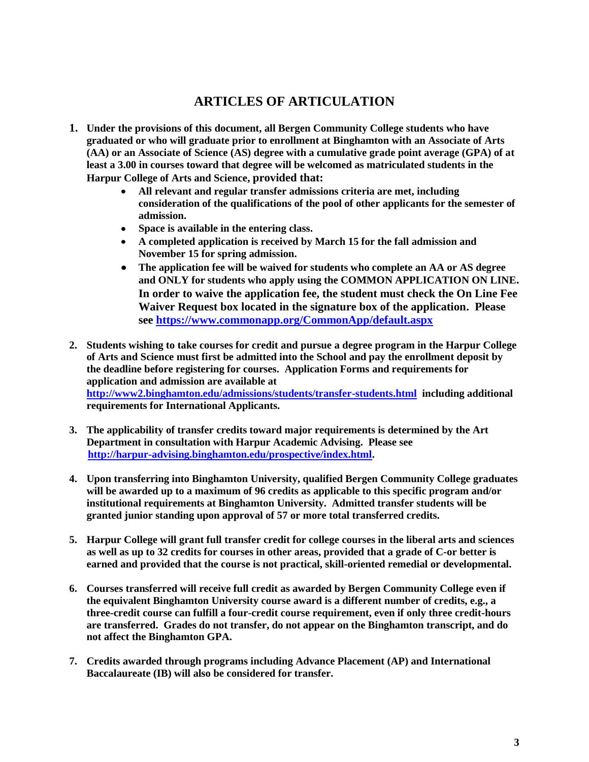## **ARTICLES OF ARTICULATION**

- **1. Under the provisions of this document, all Bergen Community College students who have graduated or who will graduate prior to enrollment at Binghamton with an Associate of Arts (AA) or an Associate of Science (AS) degree with a cumulative grade point average (GPA) of at least a 3.00 in courses toward that degree will be welcomed as matriculated students in the Harpur College of Arts and Science, provided that:** 
	- **All relevant and regular transfer admissions criteria are met, including consideration of the qualifications of the pool of other applicants for the semester of admission.**
	- **Space is available in the entering class.**
	- **A completed application is received by March 15 for the fall admission and November 15 for spring admission.**
	- $\bullet$ **The application fee will be waived for students who complete an AA or AS degree and ONLY for students who apply using the COMMON APPLICATION ON LINE. In order to waive the application fee, the student must check the On Line Fee Waiver Request box located in the signature box of the application. Please see<https://www.commonapp.org/CommonApp/default.aspx>**
- **2. Students wishing to take courses for credit and pursue a degree program in the Harpur College of Arts and Science must first be admitted into the School and pay the enrollment deposit by the deadline before registering for courses. Application Forms and requirements for application and admission are available at <http://www2.binghamton.edu/admissions/students/transfer-students.html> including additional requirements for International Applicants.**
- **3. The applicability of transfer credits toward major requirements is determined by the Art Department in consultation with Harpur Academic Advising. Please see [http://harpur-advising.binghamton.edu/prospective/index.html.](http://harpur-advising.binghamton.edu/prospective/index.html)**
- **4. Upon transferring into Binghamton University, qualified Bergen Community College graduates will be awarded up to a maximum of 96 credits as applicable to this specific program and/or institutional requirements at Binghamton University. Admitted transfer students will be granted junior standing upon approval of 57 or more total transferred credits.**
- **5. Harpur College will grant full transfer credit for college courses in the liberal arts and sciences as well as up to 32 credits for courses in other areas, provided that a grade of C-or better is earned and provided that the course is not practical, skill-oriented remedial or developmental.**
- **6. Courses transferred will receive full credit as awarded by Bergen Community College even if the equivalent Binghamton University course award is a different number of credits, e.g., a three-credit course can fulfill a four-credit course requirement, even if only three credit-hours are transferred. Grades do not transfer, do not appear on the Binghamton transcript, and do not affect the Binghamton GPA.**
- **7. Credits awarded through programs including Advance Placement (AP) and International Baccalaureate (IB) will also be considered for transfer.**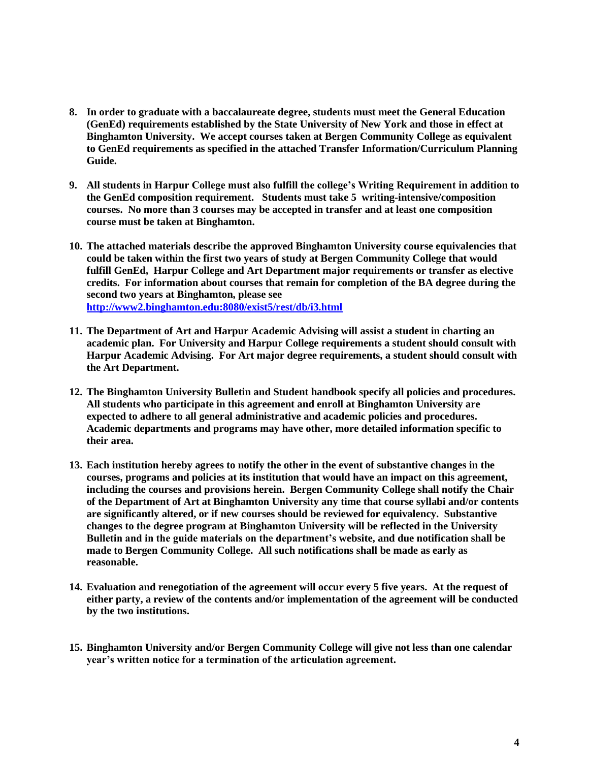- **8. In order to graduate with a baccalaureate degree, students must meet the General Education (GenEd) requirements established by the State University of New York and those in effect at Binghamton University. We accept courses taken at Bergen Community College as equivalent to GenEd requirements as specified in the attached Transfer Information/Curriculum Planning Guide.**
- **9. All students in Harpur College must also fulfill the college's Writing Requirement in addition to the GenEd composition requirement. Students must take 5 writing-intensive/composition courses. No more than 3 courses may be accepted in transfer and at least one composition course must be taken at Binghamton.**
- **10. The attached materials describe the approved Binghamton University course equivalencies that could be taken within the first two years of study at Bergen Community College that would fulfill GenEd, Harpur College and Art Department major requirements or transfer as elective credits. For information about courses that remain for completion of the BA degree during the second two years at Binghamton, please see <http://www2.binghamton.edu:8080/exist5/rest/db/i3.html>**
- **11. The Department of Art and Harpur Academic Advising will assist a student in charting an academic plan. For University and Harpur College requirements a student should consult with Harpur Academic Advising. For Art major degree requirements, a student should consult with the Art Department.**
- **12. The Binghamton University Bulletin and Student handbook specify all policies and procedures. All students who participate in this agreement and enroll at Binghamton University are expected to adhere to all general administrative and academic policies and procedures. Academic departments and programs may have other, more detailed information specific to their area.**
- **13. Each institution hereby agrees to notify the other in the event of substantive changes in the courses, programs and policies at its institution that would have an impact on this agreement, including the courses and provisions herein. Bergen Community College shall notify the Chair of the Department of Art at Binghamton University any time that course syllabi and/or contents are significantly altered, or if new courses should be reviewed for equivalency. Substantive changes to the degree program at Binghamton University will be reflected in the University Bulletin and in the guide materials on the department's website, and due notification shall be made to Bergen Community College. All such notifications shall be made as early as reasonable.**
- **14. Evaluation and renegotiation of the agreement will occur every 5 five years. At the request of either party, a review of the contents and/or implementation of the agreement will be conducted by the two institutions.**
- **15. Binghamton University and/or Bergen Community College will give not less than one calendar year's written notice for a termination of the articulation agreement.**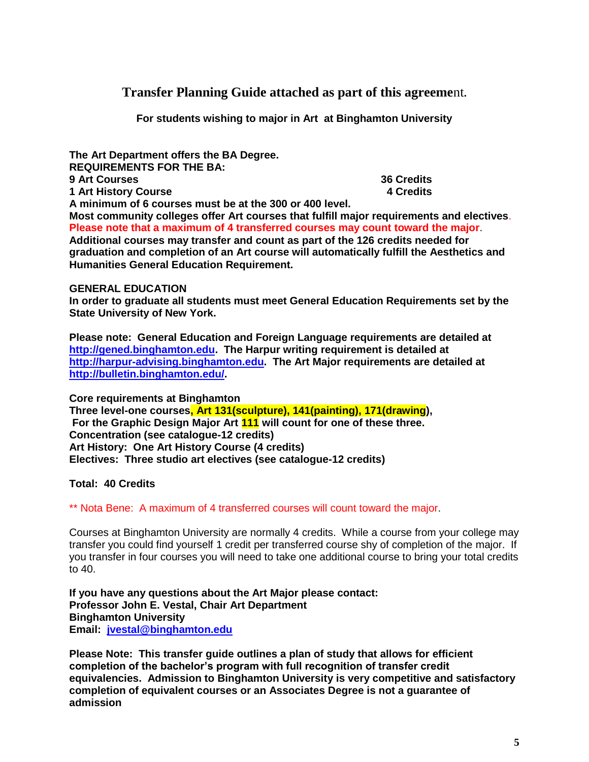**Transfer Planning Guide attached as part of this agreeme**nt**.**

**For students wishing to major in Art at Binghamton University**

**The Art Department offers the BA Degree. REQUIREMENTS FOR THE BA: 9 Art Courses 36 Credits 1 Art History Course 4 Credits A minimum of 6 courses must be at the 300 or 400 level. Most community colleges offer Art courses that fulfill major requirements and electives**.

**Please note that a maximum of 4 transferred courses may count toward the major**. **Additional courses may transfer and count as part of the 126 credits needed for graduation and completion of an Art course will automatically fulfill the Aesthetics and Humanities General Education Requirement.**

### **GENERAL EDUCATION**

**In order to graduate all students must meet General Education Requirements set by the State University of New York.** 

**Please note: General Education and Foreign Language requirements are detailed at [http://gened.binghamton.edu.](http://gened.binghamton.edu/) The Harpur writing requirement is detailed at [http://harpur-advising.binghamton.edu.](http://harpur-advising.binghamton.edu/) The Art Major requirements are detailed at [http://bulletin.binghamton.edu/.](http://bulletin.binghamton.edu/)**

**Core requirements at Binghamton Three level-one courses, Art 131(sculpture), 141(painting), 171(drawing), For the Graphic Design Major Art 111 will count for one of these three. Concentration (see catalogue-12 credits) Art History: One Art History Course (4 credits) Electives: Three studio art electives (see catalogue-12 credits)**

**Total: 40 Credits**

\*\* Nota Bene: A maximum of 4 transferred courses will count toward the major.

Courses at Binghamton University are normally 4 credits. While a course from your college may transfer you could find yourself 1 credit per transferred course shy of completion of the major. If you transfer in four courses you will need to take one additional course to bring your total credits to 40.

**If you have any questions about the Art Major please contact: Professor John E. Vestal, Chair Art Department Binghamton University Email: [jvestal@binghamton.edu](mailto:jvestal@binghamton.edu)**

**Please Note: This transfer guide outlines a plan of study that allows for efficient completion of the bachelor's program with full recognition of transfer credit equivalencies. Admission to Binghamton University is very competitive and satisfactory completion of equivalent courses or an Associates Degree is not a guarantee of admission**